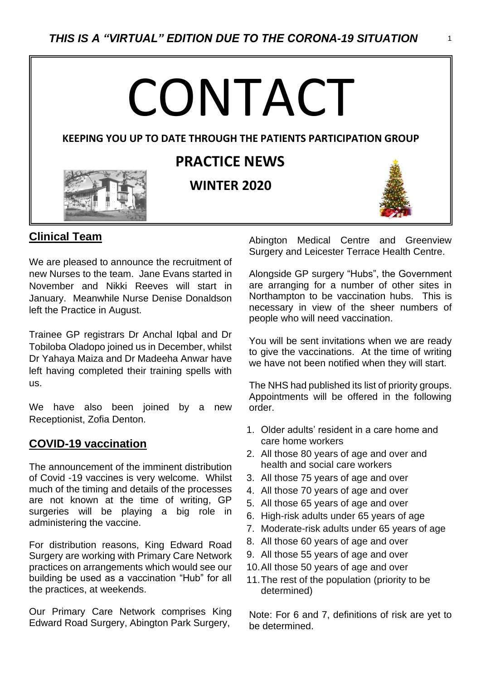# CONTACT

#### **KEEPING YOU UP TO DATE THROUGH THE PATIENTS PARTICIPATION GROUP**



# **PRACTICE NEWS**

**WINTER 2020**

 $\overline{a}$ 



## **Clinical Team**

We are pleased to announce the recruitment of new Nurses to the team. Jane Evans started in November and Nikki Reeves will start in January. Meanwhile Nurse Denise Donaldson left the Practice in August.

Trainee GP registrars Dr Anchal Iqbal and Dr Tobiloba Oladopo joined us in December, whilst Dr Yahaya Maiza and Dr Madeeha Anwar have left having completed their training spells with us.

We have also been joined by a new Receptionist, Zofia Denton.

### **COVID-19 vaccination**

The announcement of the imminent distribution of Covid -19 vaccines is very welcome. Whilst much of the timing and details of the processes are not known at the time of writing, GP surgeries will be playing a big role in administering the vaccine.

For distribution reasons, King Edward Road Surgery are working with Primary Care Network practices on arrangements which would see our building be used as a vaccination "Hub" for all the practices, at weekends.

Our Primary Care Network comprises King Edward Road Surgery, Abington Park Surgery,

Abington Medical Centre and Greenview Surgery and Leicester Terrace Health Centre.

Alongside GP surgery "Hubs", the Government are arranging for a number of other sites in Northampton to be vaccination hubs. This is necessary in view of the sheer numbers of people who will need vaccination.

You will be sent invitations when we are ready to give the vaccinations. At the time of writing we have not been notified when they will start.

The NHS had published its list of priority groups. Appointments will be offered in the following order.

- 1. Older adults' resident in a care home and care home workers
- 2. All those 80 years of age and over and health and social care workers
- 3. All those 75 years of age and over
- 4. All those 70 years of age and over
- 5. All those 65 years of age and over
- 6. High-risk adults under 65 years of age
- 7. Moderate-risk adults under 65 years of age
- 8. All those 60 years of age and over
- 9. All those 55 years of age and over
- 10.All those 50 years of age and over
- 11.The rest of the population (priority to be determined)

Note: For 6 and 7, definitions of risk are yet to be determined.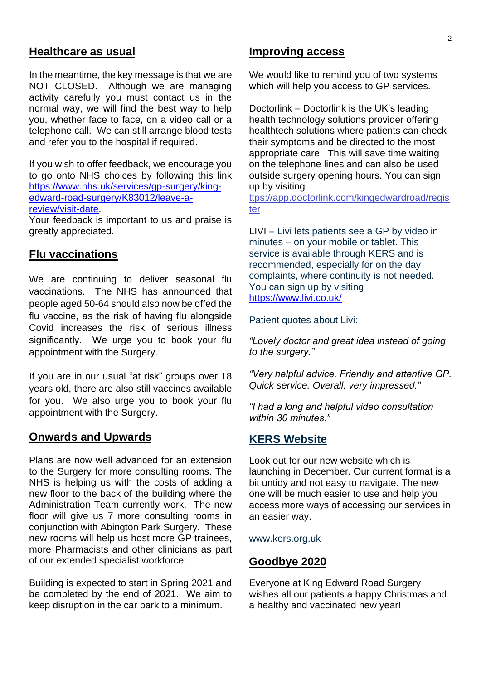#### **Healthcare as usual**

In the meantime, the key message is that we are NOT CLOSED. Although we are managing activity carefully you must contact us in the normal way, we will find the best way to help you, whether face to face, on a video call or a telephone call. We can still arrange blood tests and refer you to the hospital if required.

If you wish to offer feedback, we encourage you to go onto NHS choices by following this link [https://www.nhs.uk/services/gp-surgery/king](https://www.nhs.uk/services/gp-surgery/king-edward-road-surgery/K83012/leave-a-review/visit-date)[edward-road-surgery/K83012/leave-a](https://www.nhs.uk/services/gp-surgery/king-edward-road-surgery/K83012/leave-a-review/visit-date)[review/visit-date.](https://www.nhs.uk/services/gp-surgery/king-edward-road-surgery/K83012/leave-a-review/visit-date)

Your feedback is important to us and praise is greatly appreciated.

#### **Flu vaccinations**

We are continuing to deliver seasonal flu vaccinations. The NHS has announced that people aged 50-64 should also now be offed the flu vaccine, as the risk of having flu alongside Covid increases the risk of serious illness significantly. We urge you to book your flu appointment with the Surgery.

If you are in our usual "at risk" groups over 18 years old, there are also still vaccines available for you. We also urge you to book your flu appointment with the Surgery.

#### **Onwards and Upwards**

Plans are now well advanced for an extension to the Surgery for more consulting rooms. The NHS is helping us with the costs of adding a new floor to the back of the building where the Administration Team currently work. The new floor will give us 7 more consulting rooms in conjunction with Abington Park Surgery. These new rooms will help us host more GP trainees, more Pharmacists and other clinicians as part of our extended specialist workforce.

Building is expected to start in Spring 2021 and be completed by the end of 2021. We aim to keep disruption in the car park to a minimum.

#### **Improving access**

We would like to remind you of two systems which will help you access to GP services.

Doctorlink – Doctorlink is the UK's leading health technology solutions provider offering healthtech solutions where patients can check their symptoms and be directed to the most appropriate care. This will save time waiting on the telephone lines and can also be used outside surgery opening hours. You can sign up by visiting

[ttps://app.doctorlink.com/kingedwardroad/regis](https://app.doctorlink.com/kingedwardroad/register) [ter](https://app.doctorlink.com/kingedwardroad/register)

LIVI – Livi lets patients see a GP by video in minutes – on your mobile or tablet. This service is available through KERS and is recommended, especially for on the day complaints, where continuity is not needed. You can sign up by visiting <https://www.livi.co.uk/>

Patient quotes about Livi:

*"Lovely doctor and great idea instead of going to the surgery."*

*"Very helpful advice. Friendly and attentive GP. Quick service. Overall, very impressed."*

*"I had a long and helpful video consultation within 30 minutes."*

#### **KERS Website**

Look out for our new website which is launching in December. Our current format is a bit untidy and not easy to navigate. The new one will be much easier to use and help you access more ways of accessing our services in an easier way.

www.kers.org.uk

#### **Goodbye 2020**

Everyone at King Edward Road Surgery wishes all our patients a happy Christmas and a healthy and vaccinated new year!